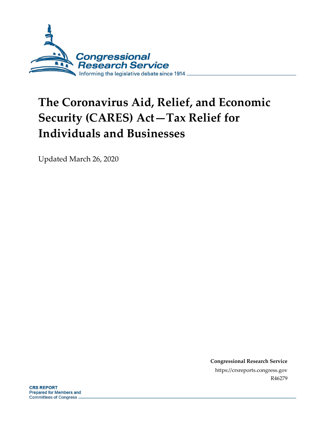

# **The Coronavirus Aid, Relief, and Economic Security (CARES) Act—Tax Relief for Individuals and Businesses**

Updated March 26, 2020

**Congressional Research Service** https://crsreports.congress.gov R46279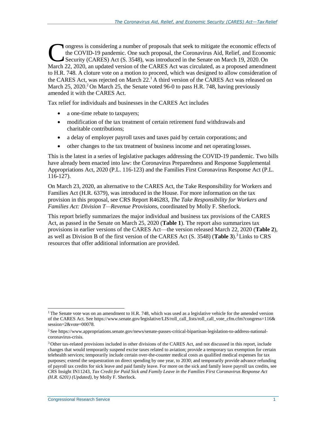Outress is considering a number of proposals that seek to mitigate the economic effects of the COVID-19 pandemic. One such proposal, the Coronavirus Aid, Relief, and Economic Security (CARES) Act (S. 3548), was introduced ongress is considering a number of proposals that seek to mitigate the economic effects of the COVID-19 pandemic. One such proposal, the Coronavirus Aid, Relief, and Economic Security (CARES) Act (S. 3548), was introduced in the Senate on March 19, 2020.On to H.R. 748. A cloture vote on a motion to proceed, which was designed to allow consideration of the CARES Act, was rejected on March  $22<sup>1</sup>$  A third version of the CARES Act was released on March 25, 2020.<sup>2</sup> On March 25, the Senate voted 96-0 to pass H.R. 748, having previously amended it with the CARES Act.

Tax relief for individuals and businesses in the CARES Act includes

- a one-time rebate to taxpayers;
- modification of the tax treatment of certain retirement fund withdrawals and charitable contributions;
- a delay of employer payroll taxes and taxes paid by certain corporations; and
- other changes to the tax treatment of business income and net operating losses.

This is the latest in a series of legislative packages addressing the COVID-19 pandemic. Two bills have already been enacted into law: the Coronavirus Preparedness and Response Supplemental Appropriations Act, 2020 (P.L. 116-123) and the Families First Coronavirus Response Act (P.L. 116-127).

On March 23, 2020, an alternative to the CARES Act, the Take Responsibility for Workers and Families Act (H.R. 6379), was introduced in the House. For more information on the tax provision in this proposal, see CRS Report R46283, *The Take Responsibility for Workers and Families Act: Division T—Revenue Provisions*, coordinated by Molly F. Sherlock.

This report briefly summarizes the major individual and business tax provisions of the CARES Act, as passed in the Senate on March 25, 2020 (**[Table 1](#page-2-0)**). The report also summarizes tax provisions in earlier versions of the CARES Act—the version released March 22, 2020 (**[Table 2](#page-6-0)**), as well as Division B of the first version of the CARES Act (S. 3548) ([Table 3](#page-8-0)).<sup>3</sup> Links to CRS resources that offer additional information are provided.

 $1$ The Senate vote was on an amendment to H.R. 748, which was used as a legislative vehicle for the amended version of the CARES Act. See https:/[/www.senate.gov/legislative/LIS/roll\\_call\\_lists/roll\\_call\\_vote\\_cfm.cfm?congress=116&](http://www.senate.gov/legislative/LIS/roll_call_lists/roll_call_vote_cfm.cfm?congress=116) session=2&vote=00078.

<sup>2</sup> See https:[//www.appropriations.senate.gov/news/senate-passes-critical-bipartisan-legislation-to-address-national](http://www.appropriations.senate.gov/news/senate-passes-critical-bipartisan-legislation-to-address-national-)coronavirus-crisis.

<sup>3</sup>Other tax-related provisions included in other divisions of the CARES Act, and not discussed in this report, include changes that would temporarily suspend excise taxes related to aviation; provide a temporary tax exemption for certain telehealth services; temporarily include certain over-the-counter medical costs as qualified medical expenses for tax purposes; extend the sequestration on direct spending by one year, to 2030; and temporarily provide advance refunding of payroll tax credits for sick leave and paid family leave. For more on the sick and family leave payroll tax credits, see CRS Insight IN11243, *Tax Credit for Paid Sick and Family Leave in the Families First Coronavirus Response Act (H.R. 6201) (Updated)*, by Molly F. Sherlock.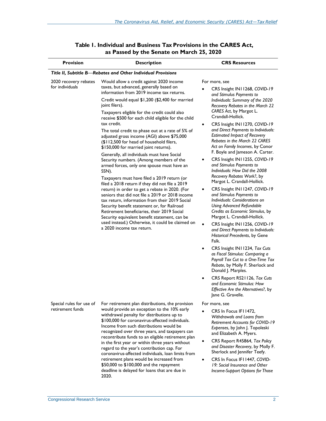<span id="page-2-0"></span>

| <b>Provision</b>                             | <b>Description</b>                                                                                                                                                                                                                                                                                                                                                                                                                                                                                                                                                                                                                                                                                                                                                                                                                                                                                                                                                                                                                                                                                                                                           | <b>CRS Resources</b>                                                                                                                                                                                                                                                                                                                                                                                                                                                                                                                                                                                                                                                                                                                                                                                                                                                                                                                                                                                                                                                                                                                                                                                                                               |
|----------------------------------------------|--------------------------------------------------------------------------------------------------------------------------------------------------------------------------------------------------------------------------------------------------------------------------------------------------------------------------------------------------------------------------------------------------------------------------------------------------------------------------------------------------------------------------------------------------------------------------------------------------------------------------------------------------------------------------------------------------------------------------------------------------------------------------------------------------------------------------------------------------------------------------------------------------------------------------------------------------------------------------------------------------------------------------------------------------------------------------------------------------------------------------------------------------------------|----------------------------------------------------------------------------------------------------------------------------------------------------------------------------------------------------------------------------------------------------------------------------------------------------------------------------------------------------------------------------------------------------------------------------------------------------------------------------------------------------------------------------------------------------------------------------------------------------------------------------------------------------------------------------------------------------------------------------------------------------------------------------------------------------------------------------------------------------------------------------------------------------------------------------------------------------------------------------------------------------------------------------------------------------------------------------------------------------------------------------------------------------------------------------------------------------------------------------------------------------|
|                                              | Title II, Subtitle B-Rebates and Other Individual Provisions                                                                                                                                                                                                                                                                                                                                                                                                                                                                                                                                                                                                                                                                                                                                                                                                                                                                                                                                                                                                                                                                                                 |                                                                                                                                                                                                                                                                                                                                                                                                                                                                                                                                                                                                                                                                                                                                                                                                                                                                                                                                                                                                                                                                                                                                                                                                                                                    |
| 2020 recovery rebates<br>for individuals     | Would allow a credit against 2020 income<br>taxes, but advanced, generally based on<br>information from 2019 income tax returns.<br>Credit would equal \$1,200 (\$2,400 for married<br>joint filers).<br>Taxpayers eligible for the credit could also<br>receive \$500 for each child eligible for the child<br>tax credit.<br>The total credit to phase out at a rate of 5% of<br>adjusted gross income (AGI) above \$75,000<br>(\$112,500 for head of household filers,<br>\$150,000 for married joint returns).<br>Generally, all individuals must have Social<br>Security numbers. (Among members of the<br>armed forces, only one spouse must have an<br>SSN).<br>Taxpayers must have filed a 2019 return (or<br>filed a 2018 return if they did not file a 2019<br>return) in order to get a rebate in 2020. (For<br>seniors that did not file a 2019 or 2018 income<br>tax return, information from their 2019 Social<br>Security benefit statement or, for Railroad<br>Retirement beneficiaries, their 2019 Social<br>Security equivalent benefit statement, can be<br>used instead.) Otherwise, it could be claimed on<br>a 2020 income tax return. | For more, see<br>CRS Insight IN11268, COVID-19<br>and Stimulus Payments to<br>Individuals: Summary of the 2020<br>Recovery Rebates in the March 22<br>CARES Act, by Margot L.<br>Crandall-Hollick.<br>CRS Insight IN11270, COVID-19<br>$\bullet$<br>and Direct Payments to Individuals:<br><b>Estimated Impact of Recovery</b><br>Rebates in the March 22 CARES<br>Act on Family Incomes, by Conor<br>F. Boyle and Jameson A. Carter.<br>CRS Insight IN11255, COVID-19<br>٠<br>and Stimulus Payments to<br>Individuals: How Did the 2008<br>Recovery Rebates Work?, by<br>Margot L. Crandall-Hollick.<br>CRS Insight IN11247, COVID-19<br>and Stimulus Payments to<br>Individuals: Considerations on<br><b>Using Advanced Refundable</b><br>Credits as Economic Stimulus, by<br>Margot L. Crandall-Hollick.<br>CRS Insight IN11256, COVID-19<br>$\bullet$<br>and Direct Payments to Individuals:<br>Historical Precedents, by Gene<br>Falk.<br>CRS Insight IN11234, Tax Cuts<br>٠<br>as Fiscal Stimulus: Comparing a<br>Payroll Tax Cut to a One-Time Tax<br>Rebate, by Molly F. Sherlock and<br>Donald J. Marples.<br>CRS Report RS21126, Tax Cuts<br>٠<br>and Economic Stimulus: How<br>Effective Are the Alternatives?, by<br>Jane G. Gravelle. |
| Special rules for use of<br>retirement funds | For retirement plan distributions, the provision<br>would provide an exception to the 10% early<br>withdrawal penalty for distributions up to<br>\$100,000 for coronavirus-affected individuals.<br>Income from such distributions would be<br>recognized over three years, and taxpayers can<br>recontribute funds to an eligible retirement plan<br>in the first year or within three years without<br>regard to the year's contribution cap. For<br>coronavirus-affected individuals, loan limits from<br>retirement plans would be increased from<br>\$50,000 to \$100,000 and the repayment<br>deadline is delayed for loans that are due in<br>2020.                                                                                                                                                                                                                                                                                                                                                                                                                                                                                                   | For more, see<br>CRS In Focus IF11472,<br>Withdrawals and Loans from<br><b>Retirement Accounts for COVID-19</b><br>Expenses, by John J. Topoleski<br>and Elizabeth A. Myers.<br>CRS Report R45864, Tax Policy<br>$\bullet$<br>and Disaster Recovery, by Molly F.<br>Sherlock and Jennifer Teefy.<br>CRS In Focus IF11447, COVID-<br>$\bullet$<br>19: Social Insurance and Other<br>Income-Support Options for Those                                                                                                                                                                                                                                                                                                                                                                                                                                                                                                                                                                                                                                                                                                                                                                                                                                |

## **Table 1. Individual and Business Tax Provisions in the CARES Act, as Passed by the Senate on March 25, 2020**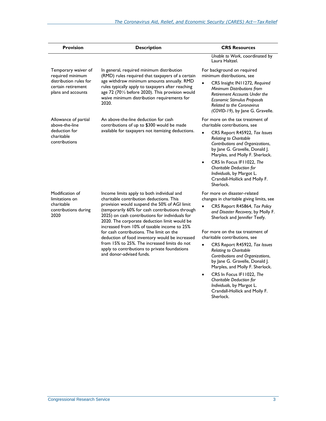| <b>Provision</b>                                                                                              | <b>Description</b>                                                                                                                                                                                                                                                                                                                                                                                                                                                                                                                                                     | <b>CRS Resources</b>                                                                                                                                                                                                                                                                                                                                                                                                   |
|---------------------------------------------------------------------------------------------------------------|------------------------------------------------------------------------------------------------------------------------------------------------------------------------------------------------------------------------------------------------------------------------------------------------------------------------------------------------------------------------------------------------------------------------------------------------------------------------------------------------------------------------------------------------------------------------|------------------------------------------------------------------------------------------------------------------------------------------------------------------------------------------------------------------------------------------------------------------------------------------------------------------------------------------------------------------------------------------------------------------------|
|                                                                                                               |                                                                                                                                                                                                                                                                                                                                                                                                                                                                                                                                                                        | Unable to Work, coordinated by<br>Laura Haltzel.                                                                                                                                                                                                                                                                                                                                                                       |
| Temporary waiver of<br>required minimum<br>distribution rules for<br>certain retirement<br>plans and accounts | In general, required minimum distribution<br>(RMD) rules required that taxpayers of a certain<br>age withdraw minimum amounts annually. RMD<br>rules typically apply to taxpayers after reaching<br>age 72 (701/2 before 2020). This provision would<br>waive minimum distribution requirements for<br>2020.                                                                                                                                                                                                                                                           | For background on required<br>minimum distributions, see<br>CRS Insight IN11272, Required<br>Minimum Distributions from<br><b>Retirement Accounts Under the</b><br><b>Economic Stimulus Proposals</b><br><b>Related to the Coronavirus</b><br>(COVID-19), by Jane G. Gravelle.                                                                                                                                         |
| Allowance of partial<br>above-the-line<br>deduction for<br>charitable<br>contributions                        | An above-the-line deduction for cash<br>contributions of up to \$300 would be made<br>available for taxpayers not itemizing deductions.                                                                                                                                                                                                                                                                                                                                                                                                                                | For more on the tax treatment of<br>charitable contributions, see<br>CRS Report R45922, Tax Issues<br><b>Relating to Charitable</b><br>Contributions and Organizations,<br>by Jane G. Gravelle, Donald J.<br>Marples, and Molly F. Sherlock.<br>CRS In Focus IF11022, The<br>$\bullet$<br>Charitable Deduction for<br>Individuals, by Margot L.<br>Crandall-Hollick and Molly F.<br>Sherlock.                          |
| Modification of<br>limitations on<br>charitable<br>contributions during<br>2020                               | Income limits apply to both individual and<br>charitable contribution deductions. This<br>provision would suspend the 50% of AGI limit<br>(temporarily 60% for cash contributions through<br>2025) on cash contributions for individuals for<br>2020. The corporate deduction limit would be<br>increased from 10% of taxable income to 25%<br>for cash contributions. The limit on the<br>deduction of food inventory would be increased<br>from 15% to 25%. The increased limits do not<br>apply to contributions to private foundations<br>and donor-advised funds. | For more on disaster-related<br>changes in charitable giving limits, see<br>CRS Report R45864, Tax Policy<br>$\bullet$<br>and Disaster Recovery, by Molly F.<br>Sherlock and Jennifer Teefy.<br>For more on the tax treatment of<br>charitable contributions, see<br>CRS Report R45922, Tax Issues<br>$\bullet$<br><b>Relating to Charitable</b><br>Contributions and Organizations,<br>by Jane G. Gravelle, Donald J. |

 CRS In Focus IF11022, *The Charitable Deduction for Individuals*, by Margot L. Crandall-Hollick and Molly F. Sherlock.

Marples, and Molly F. Sherlock.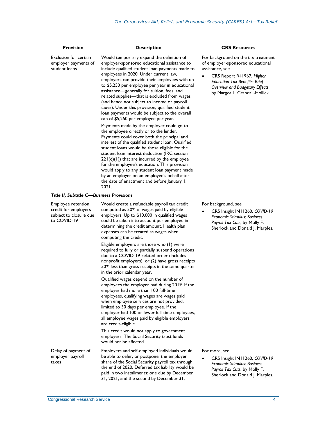| <b>Provision</b>                                                                    | <b>Description</b>                                                                                                                                                                                                                                                                                                                                                                                                                                                                                                                                                                                                                                                                                                                                                                                                                                                                                                                                                                                                                                                                                                                            | <b>CRS Resources</b>                                                                                                                                                                                                                  |
|-------------------------------------------------------------------------------------|-----------------------------------------------------------------------------------------------------------------------------------------------------------------------------------------------------------------------------------------------------------------------------------------------------------------------------------------------------------------------------------------------------------------------------------------------------------------------------------------------------------------------------------------------------------------------------------------------------------------------------------------------------------------------------------------------------------------------------------------------------------------------------------------------------------------------------------------------------------------------------------------------------------------------------------------------------------------------------------------------------------------------------------------------------------------------------------------------------------------------------------------------|---------------------------------------------------------------------------------------------------------------------------------------------------------------------------------------------------------------------------------------|
| Exclusion for certain<br>employer payments of<br>student loans                      | Would temporarily expand the definition of<br>employer-sponsored educational assistance to<br>include qualified student loan payments made to<br>employees in 2020. Under current law,<br>employers can provide their employees with up<br>to \$5,250 per employee per year in educational<br>assistance-generally for tuition, fees, and<br>related supplies-that is excluded from wages<br>(and hence not subject to income or payroll<br>taxes). Under this provision, qualified student<br>loan payments would be subject to the overall<br>cap of \$5,250 per employee per year.<br>Payments made by the employer could go to<br>the employee directly or to the lender.<br>Payments could cover both the principal and<br>interest of the qualified student loan. Qualified<br>student loans would be those eligible for the<br>student loan interest deduction (IRC section<br>$221(d)(1)$ ) that are incurred by the employee<br>for the employee's education. This provision<br>would apply to any student loan payment made<br>by an employer on an employee's behalf after<br>the date of enactment and before January 1,<br>2021. | For background on the tax treatment<br>of employer-sponsored educational<br>assistance, see<br>CRS Report R41967, Higher<br><b>Education Tax Benefits: Brief</b><br>Overview and Budgetary Effects,<br>by Margot L. Crandall-Hollick. |
| <b>Title II, Subtitle C—Business Provisions</b>                                     |                                                                                                                                                                                                                                                                                                                                                                                                                                                                                                                                                                                                                                                                                                                                                                                                                                                                                                                                                                                                                                                                                                                                               |                                                                                                                                                                                                                                       |
| Employee retention<br>credit for employers<br>subject to closure due<br>to COVID-19 | Would create a refundable payroll tax credit<br>computed as 50% of wages paid by eligible<br>employers. Up to \$10,000 in qualified wages<br>could be taken into account per employee in<br>determining the credit amount. Health plan<br>expenses can be treated as wages when<br>computing the credit.<br>Eligible employers are those who (1) were<br>required to fully or partially suspend operations<br>due to a COVID-19-related order (includes<br>nonprofit employers); or (2) have gross receipts<br>50% less than gross receipts in the same quarter<br>in the prior calendar year.<br>Qualified wages depend on the number of<br>employees the employer had during 2019. If the<br>employer had more than 100 full-time<br>employees, qualifying wages are wages paid<br>when employee services are not provided,<br>limited to 30 days per employee. If the<br>employer had 100 or fewer full-time employees,<br>all employee wages paid by eligible employers<br>are credit-eligible.<br>This credit would not apply to government<br>employers. The Social Security trust funds<br>would not be affected.                      | For background, see<br>CRS Insight IN11260, COVID-19<br>Economic Stimulus: Business<br>Payroll Tax Cuts, by Molly F.<br>Sherlock and Donald J. Marples.                                                                               |
| Delay of payment of<br>employer payroll<br>taxes                                    | Employers and self-employed individuals would<br>be able to defer, or postpone, the employer<br>share of the Social Security payroll tax through<br>the end of 2020. Deferred tax liability would be<br>paid in two installments: one due by December                                                                                                                                                                                                                                                                                                                                                                                                                                                                                                                                                                                                                                                                                                                                                                                                                                                                                         | For more, see<br>CRS Insight IN11260, COVID-19<br><b>Economic Stimulus: Business</b><br>Payroll Tax Cuts, by Molly F.<br>Sherlock and Donald J. Marples.                                                                              |

31, 2021, and the second by December 31,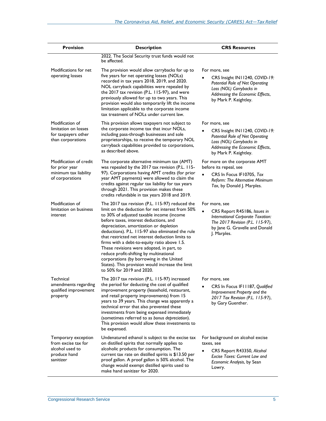| <b>Provision</b>                                                                           | <b>Description</b>                                                                                                                                                                                                                                                                                                                                                                                                                                                                                                                                                                                                  | <b>CRS Resources</b>                                                                                                                                                                 |
|--------------------------------------------------------------------------------------------|---------------------------------------------------------------------------------------------------------------------------------------------------------------------------------------------------------------------------------------------------------------------------------------------------------------------------------------------------------------------------------------------------------------------------------------------------------------------------------------------------------------------------------------------------------------------------------------------------------------------|--------------------------------------------------------------------------------------------------------------------------------------------------------------------------------------|
|                                                                                            | 2022. The Social Security trust funds would not<br>be affected.                                                                                                                                                                                                                                                                                                                                                                                                                                                                                                                                                     |                                                                                                                                                                                      |
| Modifications for net<br>operating losses                                                  | The provision would allow carrybacks for up to<br>five years for net operating losses (NOLs)<br>recorded in tax years 2018, 2019, and 2020.<br>NOL carryback capabilities were repealed by<br>the 2017 tax revision (P.L. 115-97), and were<br>previously allowed for up to two years. This<br>provision would also temporarily lift the income<br>limitation applicable to the corporate income<br>tax treatment of NOLs under current law.                                                                                                                                                                        | For more, see<br>CRS Insight IN11240, COVID-19:<br><b>Potential Role of Net Operating</b><br>Loss (NOL) Carrybacks in<br>Addressing the Economic Effects,<br>by Mark P. Keightley.   |
| Modification of<br>limitation on losses<br>for taxpayers other<br>than corporations        | This provision allows taxpayers not subject to<br>the corporate income tax that incur NOLs,<br>including pass-through businesses and sole<br>proprietorships, to receive the temporary NOL<br>carryback capabilities provided to corporations,<br>as described above.                                                                                                                                                                                                                                                                                                                                               | For more, see<br>CRS Insight IN11240, COVID-19:<br><b>Potential Role of Net Operating</b><br>Loss (NOL) Carrybacks in<br>Addressing the Economic Effects,<br>by Mark P. Keightley.   |
| Modification of credit<br>for prior year<br>minimum tax liability<br>of corporations       | The corporate alternative minimum tax (AMT)<br>was repealed by the 2017 tax revision (P.L. 115-<br>97). Corporations having AMT credits (for prior<br>year AMT payments) were allowed to claim the<br>credits against regular tax liability for tax years<br>through 2021. This provision makes these<br>credits refundable in tax years 2018 and 2019.                                                                                                                                                                                                                                                             | For more on the corporate AMT<br>before its repeal, see<br>CRS In Focus IF10705, Tax<br>Reform: The Alternative Minimum<br>Tax, by Donald J. Marples.                                |
| Modification of<br>limitation on business<br>interest                                      | The 2017 tax revision (P.L. 115-97) reduced the<br>limit on the deduction for net interest from 50%<br>to 30% of adjusted taxable income (income<br>before taxes, interest deductions, and<br>depreciation, amortization or depletion<br>deductions). P.L. 115-97 also eliminated the rule<br>that restricted net interest deduction limits to<br>firms with a debt-to-equity ratio above 1.5.<br>These revisions were adopted, in part, to<br>reduce profit-shifting by multinational<br>corporations (by borrowing in the United<br>States). This provision would increase the limit<br>to 50% for 2019 and 2020. | For more, see<br>$\bullet$<br>CRS Report R45186, Issues in<br>International Corporate Taxation:<br>The 2017 Revision (P.L. 115-97),<br>by Jane G. Gravelle and Donald<br>J. Marples. |
| Technical<br>amendments regarding<br>qualified improvement<br>property                     | The 2017 tax revision (P.L. 115-97) increased<br>the period for deducting the cost of qualified<br>improvement property (leasehold, restaurant,<br>and retail property improvements) from 15<br>years to 39 years. This change was apparently a<br>technical error that also prevented these<br>investments from being expensed immediately<br>(sometimes referred to as bonus depreciation).<br>This provision would allow these investments to<br>be expensed.                                                                                                                                                    | For more, see<br>CRS In Focus IF11187, Qualified<br>Improvement Property and the<br>2017 Tax Revision (P.L. 115-97),<br>by Gary Guenther.                                            |
| Temporary exception<br>from excise tax for<br>alcohol used to<br>produce hand<br>sanitizer | Undenatured ethanol is subject to the excise tax<br>on distilled spirits that normally applies to<br>alcoholic products for consumption. The<br>current tax rate on distilled spirits is \$13.50 per<br>proof gallon. A proof gallon is 50% alcohol. The<br>change would exempt distilled spirits used to<br>make hand sanitizer for 2020.                                                                                                                                                                                                                                                                          | For background on alcohol excise<br>taxes, see<br>CRS Report R43350, Alcohol<br>$\bullet$<br>Excise Taxes: Current Law and<br>Economic Analysis, by Sean<br>Lowry.                   |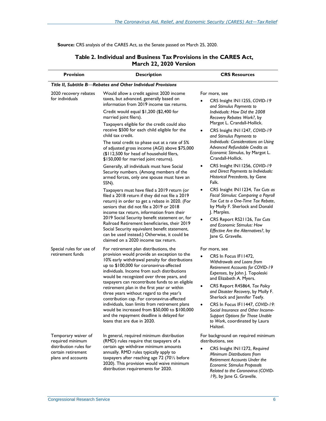**Source:** CRS analysis of the CARES Act, as the Senate passed on March 25, 2020.

<span id="page-6-0"></span>

| <b>Provision</b>                                                                                              | <b>Description</b>                                                                                                                                                                                                                                                                                                                                                                                                                                                                                                                                                                                                                                         | <b>CRS Resources</b>                                                                                                                                                                                                                                                                                                                                                                                                                                                   |
|---------------------------------------------------------------------------------------------------------------|------------------------------------------------------------------------------------------------------------------------------------------------------------------------------------------------------------------------------------------------------------------------------------------------------------------------------------------------------------------------------------------------------------------------------------------------------------------------------------------------------------------------------------------------------------------------------------------------------------------------------------------------------------|------------------------------------------------------------------------------------------------------------------------------------------------------------------------------------------------------------------------------------------------------------------------------------------------------------------------------------------------------------------------------------------------------------------------------------------------------------------------|
|                                                                                                               | Title II, Subtitle B-Rebates and Other Individual Provisions                                                                                                                                                                                                                                                                                                                                                                                                                                                                                                                                                                                               |                                                                                                                                                                                                                                                                                                                                                                                                                                                                        |
| 2020 recovery rebates<br>for individuals                                                                      | Would allow a credit against 2020 income<br>taxes, but advanced, generally based on<br>information from 2019 income tax returns.<br>Credit would equal \$1,200 (\$2,400 for<br>married joint filers).<br>Taxpayers eligible for the credit could also<br>receive \$500 for each child eligible for the<br>child tax credit.<br>The total credit to phase out at a rate of 5%<br>of adjusted gross income (AGI) above \$75,000<br>(\$112,500 for head of household filers,                                                                                                                                                                                  | For more, see<br>CRS Insight IN11255, COVID-19<br>and Stimulus Payments to<br>Individuals: How Did the 2008<br>Recovery Rebates Work?, by<br>Margot L. Crandall-Hollick.<br>CRS Insight IN11247, COVID-19<br>$\bullet$<br>and Stimulus Payments to<br>Individuals: Considerations on Using<br>Advanced Refundable Credits as<br>Economic Stimulus, by Margot L.                                                                                                        |
|                                                                                                               | \$150,000 for married joint returns).<br>Generally, all individuals must have Social<br>Security numbers. (Among members of the<br>armed forces, only one spouse must have an<br>SSN).                                                                                                                                                                                                                                                                                                                                                                                                                                                                     | Crandall-Hollick.<br>CRS Insight IN11256, COVID-19<br>٠<br>and Direct Payments to Individuals:<br>Historical Precedents, by Gene<br>Falk.                                                                                                                                                                                                                                                                                                                              |
|                                                                                                               | Taxpayers must have filed a 2019 return (or<br>filed a 2018 return if they did not file a 2019<br>return) in order to get a rebate in 2020. (For<br>seniors that did not file a 2019 or 2018<br>income tax return, information from their<br>2019 Social Security benefit statement or, for<br>Railroad Retirement beneficiaries, their 2019<br>Social Security equivalent benefit statement,<br>can be used instead.) Otherwise, it could be<br>claimed on a 2020 income tax return.                                                                                                                                                                      | CRS Insight IN11234, Tax Cuts as<br>٠<br>Fiscal Stimulus: Comparing a Payroll<br>Tax Cut to a One-Time Tax Rebate,<br>by Molly F. Sherlock and Donald<br>J. Marples.<br>CRS Report RS21126, Tax Cuts<br>$\bullet$<br>and Economic Stimulus: How<br>Effective Are the Alternatives?, by<br>Jane G. Gravelle.                                                                                                                                                            |
| Special rules for use of<br>retirement funds                                                                  | For retirement plan distributions, the<br>provision would provide an exception to the<br>10% early withdrawal penalty for distributions<br>up to \$100,000 for coronavirus-affected<br>individuals. Income from such distributions<br>would be recognized over three years, and<br>taxpayers can recontribute funds to an eligible<br>retirement plan in the first year or within<br>three years without regard to the year's<br>contribution cap. For coronavirus-affected<br>individuals, loan limits from retirement plans<br>would be increased from \$50,000 to \$100,000<br>and the repayment deadline is delayed for<br>loans that are due in 2020. | For more, see<br>CRS In Focus IF11472,<br>Withdrawals and Loans from<br><b>Retirement Accounts for COVID-19</b><br>Expenses, by John J. Topoleski<br>and Elizabeth A. Myers.<br>CRS Report R45864, Tax Policy<br>٠<br>and Disaster Recovery, by Molly F.<br>Sherlock and Jennifer Teefy.<br>CRS In Focus IF11447, COVID-19:<br>$\bullet$<br>Social Insurance and Other Income-<br><b>Support Options for Those Unable</b><br>to Work, coordinated by Laura<br>Haltzel. |
| Temporary waiver of<br>required minimum<br>distribution rules for<br>certain retirement<br>plans and accounts | In general, required minimum distribution<br>(RMD) rules require that taxpayers of a<br>certain age withdraw minimum amounts<br>annually. RMD rules typically apply to<br>taxpayers after reaching age 72 (701/2 before<br>2020). This provision would waive minimum<br>distribution requirements for 2020.                                                                                                                                                                                                                                                                                                                                                | For background on required minimum<br>distributions, see<br>CRS Insight IN11272, Required<br>Minimum Distributions from<br>Retirement Accounts Under the<br>Economic Stimulus Proposals<br>Related to the Coronavirus (COVID-                                                                                                                                                                                                                                          |

### **Table 2. Individual and Business Tax Provisions in the CARES Act, March 22, 2020 Version**

*19)*, by Jane G. Gravelle.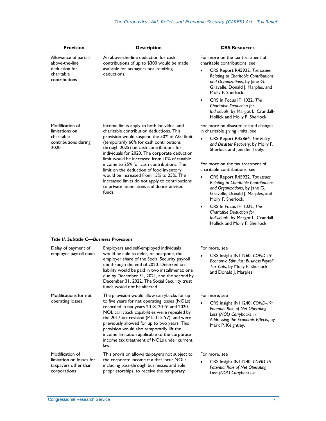| <b>Provision</b>                                                                       | <b>Description</b>                                                                                                                                                                                                                                                                                                                              | <b>CRS Resources</b>                                                                                                                                                                                                                  |
|----------------------------------------------------------------------------------------|-------------------------------------------------------------------------------------------------------------------------------------------------------------------------------------------------------------------------------------------------------------------------------------------------------------------------------------------------|---------------------------------------------------------------------------------------------------------------------------------------------------------------------------------------------------------------------------------------|
| Allowance of partial<br>above-the-line<br>deduction for<br>charitable<br>contributions | An above-the-line deduction for cash<br>contributions of up to \$300 would be made<br>available for taxpayers not itemizing<br>deductions.                                                                                                                                                                                                      | For more on the tax treatment of<br>charitable contributions, see<br>CRS Report R45922, Tax Issues<br>Relating to Charitable Contributions<br>and Organizations, by Jane G.<br>Gravelle, Donald J. Marples, and<br>Molly F. Sherlock. |
|                                                                                        |                                                                                                                                                                                                                                                                                                                                                 | CRS In Focus IF11022, The<br>$\bullet$<br>Charitable Deduction for<br>Individuals, by Margot L. Crandall-<br>Hollick and Molly F. Sherlock.                                                                                           |
| Modification of<br>limitations on                                                      | Income limits apply to both individual and<br>charitable contribution deductions. This                                                                                                                                                                                                                                                          | For more on disaster-related changes<br>in charitable giving limits, see                                                                                                                                                              |
| charitable<br>contributions during<br>2020                                             | provision would suspend the 50% of AGI limit<br>(temporarily 60% for cash contributions<br>through 2025) on cash contributions for<br>individuals for 2020. The corporate deduction<br>limit would be increased from 10% of taxable                                                                                                             | CRS Report R45864, Tax Policy<br>$\bullet$<br>and Disaster Recovery, by Molly F.<br>Sherlock and Jennifer Teefy.                                                                                                                      |
|                                                                                        | income to 25% for cash contributions. The<br>limit on the deduction of food inventory                                                                                                                                                                                                                                                           | For more on the tax treatment of<br>charitable contributions, see                                                                                                                                                                     |
|                                                                                        | would be increased from 15% to 25%. The<br>increased limits do not apply to contributions<br>to private foundations and donor-advised<br>funds.                                                                                                                                                                                                 | CRS Report R45922, Tax Issues<br>$\bullet$<br>Relating to Charitable Contributions<br>and Organizations, by Jane G.<br>Gravelle, Donald J. Marples, and<br>Molly F. Sherlock.                                                         |
|                                                                                        |                                                                                                                                                                                                                                                                                                                                                 | CRS In Focus IF11022, The<br>٠<br>Charitable Deduction for<br>Individuals, by Margot L. Crandall-<br>Hollick and Molly F. Sherlock.                                                                                                   |
| Title II, Subtitle C-Business Provisions                                               |                                                                                                                                                                                                                                                                                                                                                 |                                                                                                                                                                                                                                       |
| Delay of payment of<br>employer payroll taxes                                          | Employers and self-employed individuals<br>would be able to defer, or postpone, the                                                                                                                                                                                                                                                             | For more, see                                                                                                                                                                                                                         |
|                                                                                        | employer share of the Social Security payroll<br>tax through the end of 2020. Deferred tax<br>liability would be paid in two installments: one<br>due by December 31, 2021, and the second by<br>December 31, 2022. The Social Security trust<br>funds would not be affected.                                                                   | CRS Insight IN11260, COVID-19<br>Economic Stimulus: Business Payroll<br>Tax Cuts, by Molly F. Sherlock<br>and Donald J. Marples.                                                                                                      |
| Modifications for net<br>operating losses                                              | The provision would allow carrybacks for up<br>to five years for net operating losses (NOLs)                                                                                                                                                                                                                                                    | For more, see                                                                                                                                                                                                                         |
|                                                                                        | recorded in tax years 2018, 2019, and 2020.<br>NOL carryback capabilities were repealed by<br>the 2017 tax revision (P.L. 115-97), and were<br>previously allowed for up to two years. This<br>provision would also temporarily lift the<br>income limitation applicable to the corporate<br>income tax treatment of NOLs under current<br>law. | CRS Insight IN11240, COVID-19:<br>Potential Role of Net Operating<br>Loss (NOL) Carrybacks in<br>Addressing the Economic Effects, by<br>Mark P. Keightley.                                                                            |
| Modification of<br>limitation on losses for<br>taxpayers other than<br>corporations    | This provision allows taxpayers not subject to<br>the corporate income tax that incur NOLs,<br>including pass-through businesses and sole<br>proprietorships, to receive the temporary                                                                                                                                                          | For more, see<br>CRS Insight IN11240, COVID-19:<br><b>Potential Role of Net Operating</b><br>Loss (NOL) Carrybacks in                                                                                                                 |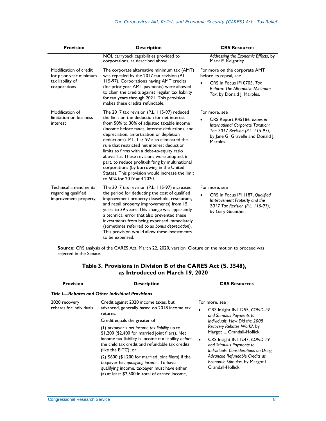| <b>Provision</b>                                                           | <b>Description</b>                                                                                                                                                                                                                                                                                                                                                                                                                                                                                                                                                   | <b>CRS Resources</b>                                                                                                                                   |
|----------------------------------------------------------------------------|----------------------------------------------------------------------------------------------------------------------------------------------------------------------------------------------------------------------------------------------------------------------------------------------------------------------------------------------------------------------------------------------------------------------------------------------------------------------------------------------------------------------------------------------------------------------|--------------------------------------------------------------------------------------------------------------------------------------------------------|
|                                                                            | NOL carryback capabilities provided to<br>corporations, as described above.                                                                                                                                                                                                                                                                                                                                                                                                                                                                                          | Addressing the Economic Effects, by<br>Mark P. Keightley.                                                                                              |
| Modification of credit<br>for prior year minimum                           | The corporate alternative minimum tax (AMT)<br>was repealed by the 2017 tax revision (P.L.                                                                                                                                                                                                                                                                                                                                                                                                                                                                           | For more on the corporate AMT<br>before its repeal, see                                                                                                |
| tax liability of<br>corporations                                           | 115-97). Corporations having AMT credits<br>(for prior year AMT payments) were allowed<br>to claim the credits against regular tax liability<br>for tax years through 2021. This provision<br>makes these credits refundable.                                                                                                                                                                                                                                                                                                                                        | CRS In Focus IF10705, Tax<br>Reform: The Alternative Minimum<br>Tax, by Donald J. Marples.                                                             |
| Modification of                                                            | The 2017 tax revision (P.L. 115-97) reduced                                                                                                                                                                                                                                                                                                                                                                                                                                                                                                                          | For more, see                                                                                                                                          |
| limitation on business<br>interest                                         | the limit on the deduction for net interest<br>from 50% to 30% of adjusted taxable income<br>(income before taxes, interest deductions, and<br>depreciation, amortization or depletion<br>deductions). P.L. 115-97 also eliminated the<br>rule that restricted net interest deduction<br>limits to firms with a debt-to-equity ratio<br>above 1.5. These revisions were adopted, in<br>part, to reduce profit-shifting by multinational<br>corporations (by borrowing in the United<br>States). This provision would increase the limit<br>to 50% for 2019 and 2020. | CRS Report R45186, Issues in<br>International Corporate Taxation:<br>The 2017 Revision (P.L. 115-97),<br>by Jane G. Gravelle and Donald J.<br>Marples. |
| <b>Technical amendments</b><br>regarding qualified<br>improvement property | The 2017 tax revision (P.L. 115-97) increased<br>the period for deducting the cost of qualified<br>improvement property (leasehold, restaurant,<br>and retail property improvements) from 15<br>years to 39 years. This change was apparently<br>a technical error that also prevented these<br>investments from being expensed immediately<br>(sometimes referred to as bonus depreciation).<br>This provision would allow these investments<br>to be expensed.                                                                                                     | For more, see<br>CRS In Focus IF11187, Qualified<br>Improvement Property and the<br>2017 Tax Revision (P.L. 115-97),<br>by Gary Guenther.              |

**Source:** CRS analysis of the CARES Act, March 22, 2020, version. Cloture on the motion to proceed was rejected in the Senate.

<span id="page-8-0"></span>

| <b>Provision</b>                         | <b>Description</b>                                                                                                                                                                                                                                                                                                                                                                                                              | <b>CRS Resources</b>                                                                                                                                                                                                                                                                                                                                                         |
|------------------------------------------|---------------------------------------------------------------------------------------------------------------------------------------------------------------------------------------------------------------------------------------------------------------------------------------------------------------------------------------------------------------------------------------------------------------------------------|------------------------------------------------------------------------------------------------------------------------------------------------------------------------------------------------------------------------------------------------------------------------------------------------------------------------------------------------------------------------------|
|                                          | Title I-Rebates and Other Individual Provisions                                                                                                                                                                                                                                                                                                                                                                                 |                                                                                                                                                                                                                                                                                                                                                                              |
| 2020 recovery<br>rebates for individuals | Credit against 2020 income taxes, but<br>advanced, generally based on 2018 income tax<br>returns.<br>Credit equals the greater of<br>(1) taxpayer's net income tax liability up to<br>\$1,200 (\$2,400 for married joint filers). Net<br>income tax liability is income tax liability before<br>the child tax credit and refundable tax credits<br>(like the EITC); or<br>$(2)$ \$600 (\$1,200 for married joint filers) if the | For more, see<br>CRS Insight IN11255, COVID-19<br>$\bullet$<br>and Stimulus Payments to<br>Individuals: How Did the 2008<br>Recovery Rebates Work?, by<br>Margot L. Crandall-Hollick.<br>CRS Insight IN11247, COVID-19<br>$\bullet$<br>and Stimulus Payments to<br>Individuals: Considerations on Using<br>Advanced Refundable Credits as<br>Economic Stimulus, by Margot L. |
|                                          | taxpayer has qualifying income. To have<br>qualifying income, taxpayer must have either<br>(a) at least \$2,500 in total of earned income,                                                                                                                                                                                                                                                                                      | Crandall-Hollick.                                                                                                                                                                                                                                                                                                                                                            |

#### **Table 3. Provisions in Division B of the CARES Act (S. 3548), as Introduced on March 19, 2020**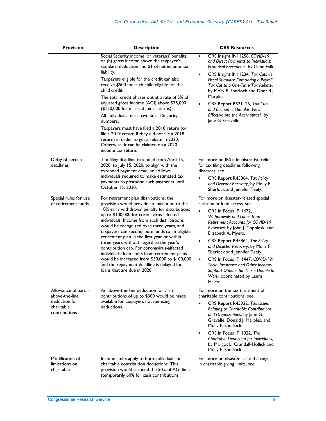| <b>Provision</b>                                                                       | <b>Description</b>                                                                                                                                                                                                                                                                                                                                                                                                                                                                                                                                                                                                                                                                        | <b>CRS Resources</b>                                                                                                                                                                                                                                                                                                                                                                                                                                                                                             |
|----------------------------------------------------------------------------------------|-------------------------------------------------------------------------------------------------------------------------------------------------------------------------------------------------------------------------------------------------------------------------------------------------------------------------------------------------------------------------------------------------------------------------------------------------------------------------------------------------------------------------------------------------------------------------------------------------------------------------------------------------------------------------------------------|------------------------------------------------------------------------------------------------------------------------------------------------------------------------------------------------------------------------------------------------------------------------------------------------------------------------------------------------------------------------------------------------------------------------------------------------------------------------------------------------------------------|
|                                                                                        | Social Security income, or veterans' benefits,<br>or (b) gross income above the taxpayer's<br>standard deduction and \$1 of net income tax<br>liability.<br>Taxpayers eligible for the credit can also<br>receive \$500 for each child eligible for the<br>child credit.<br>The total credit phases out at a rate of 5% of<br>adjusted gross income (AGI) above \$75,000<br>(\$150,000 for married joint returns).<br>All individuals must have Social Security<br>numbers.<br>Taxpayers must have filed a 2018 return (or<br>file a 2019 return if they did not file a 2018<br>return) in order to get a rebate in 2020.<br>Otherwise, it can be claimed on a 2020<br>income tax return. | CRS Insight IN11256, COVID-19<br>$\bullet$<br>and Direct Payments to Individuals:<br>Historical Precedents, by Gene Falk.<br>CRS Insight IN11234, Tax Cuts as<br>Fiscal Stimulus: Comparing a Payroll<br>Tax Cut to a One-Time Tax Rebate,<br>by Molly F. Sherlock and Donald J.<br>Marples.<br>CRS Report RS21126, Tax Cuts<br>and Economic Stimulus: How<br>Effective Are the Alternatives?, by<br>Jane G. Gravelle.                                                                                           |
| Delay of certain<br>deadlines                                                          | Tax filing deadline extended from April 15,<br>2020, to July 15, 2020, to align with the<br>extended payment deadline. <sup>a</sup> Allows<br>individuals required to make estimated tax<br>payments to postpone such payments until<br>October 15, 2020.                                                                                                                                                                                                                                                                                                                                                                                                                                 | For more on IRS administrative relief<br>for tax filing deadlines following<br>disasters. see<br>CRS Report R45864, Tax Policy<br>and Disaster Recovery, by Molly F.<br>Sherlock and Jennifer Teefy.                                                                                                                                                                                                                                                                                                             |
| Special rules for use<br>of retirement funds                                           | For retirement plan distributions, the<br>provision would provide an exception to the<br>10% early withdrawal penalty for distributions<br>up to \$100,000 for coronavirus-affected<br>individuals. Income from such distributions<br>would be recognized over three years, and<br>taxpayers can recontribute funds to an eligible<br>retirement plan in the first year or within<br>three years without regard to the year's<br>contribution cap. For coronavirus-affected<br>individuals, loan limits from retirement plans<br>would be increased from \$50,000 to \$100,000<br>and the repayment deadline is delayed for<br>loans that are due in 2020.                                | For more on disaster-related special<br>retirement fund access, see<br>CRS In Focus IF11472,<br>Withdrawals and Loans from<br><b>Retirement Accounts for COVID-19</b><br>Expenses, by John J. Topoleski and<br>Elizabeth A. Myers.<br>CRS Report R45864, Tax Policy<br>and Disaster Recovery, by Molly F.<br>Sherlock and Jennifer Teefy.<br>CRS In Focus IF11447, COVID-19:<br>$\bullet$<br>Social Insurance and Other Income-<br>Support Options for Those Unable to<br>Work, coordinated by Laura<br>Haltzel. |
| Allowance of partial<br>above-the-line<br>deduction for<br>charitable<br>contributions | An above-the-line deduction for cash<br>contributions of up to \$300 would be made<br>available for taxpayers not itemizing<br>deductions.                                                                                                                                                                                                                                                                                                                                                                                                                                                                                                                                                | For more on the tax treatment of<br>charitable contributions, see<br>CRS Report R45922, Tax Issues<br>Relating to Charitable Contributions<br>and Organizations, by Jane G.<br>Gravelle, Donald J. Marples, and<br>Molly F. Sherlock.<br>CRS In Focus IFI 1022, The<br>$\bullet$<br>Charitable Deduction for Individuals,<br>by Margot L. Crandall-Hollick and<br>Molly F. Sherlock.                                                                                                                             |
| Modification of<br>limitations on<br>charitable                                        | Income limits apply to both individual and<br>charitable contribution deductions. This<br>provision would suspend the 50% of AGI limit<br>(temporarily 60% for cash contributions                                                                                                                                                                                                                                                                                                                                                                                                                                                                                                         | For more on disaster-related changes<br>in charitable giving limits, see                                                                                                                                                                                                                                                                                                                                                                                                                                         |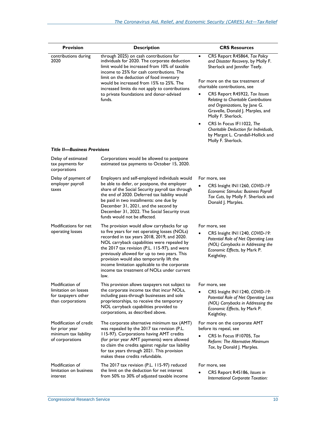| <b>Provision</b>                                                                     | <b>Description</b>                                                                                                                                                                                                                                                                                                                                                                                                                              | <b>CRS Resources</b>                                                                                                                                                                                                                                                                                                                                      |
|--------------------------------------------------------------------------------------|-------------------------------------------------------------------------------------------------------------------------------------------------------------------------------------------------------------------------------------------------------------------------------------------------------------------------------------------------------------------------------------------------------------------------------------------------|-----------------------------------------------------------------------------------------------------------------------------------------------------------------------------------------------------------------------------------------------------------------------------------------------------------------------------------------------------------|
| contributions during<br>2020                                                         | through 2025) on cash contributions for<br>individuals for 2020. The corporate deduction<br>limit would be increased from 10% of taxable<br>income to 25% for cash contributions. The<br>limit on the deduction of food inventory<br>would be increased from 15% to 25%. The<br>increased limits do not apply to contributions<br>to private foundations and donor-advised<br>funds.                                                            | CRS Report R45864, Tax Policy<br>$\bullet$<br>and Disaster Recovery, by Molly F.<br>Sherlock and Jennifer Teefy.<br>For more on the tax treatment of<br>charitable contributions, see<br>CRS Report R45922, Tax Issues<br>Relating to Charitable Contributions<br>and Organizations, by Jane G.<br>Gravelle, Donald J. Marples, and<br>Molly F. Sherlock. |
|                                                                                      |                                                                                                                                                                                                                                                                                                                                                                                                                                                 | CRS In Focus IFI 1022, The<br>$\bullet$<br>Charitable Deduction for Individuals,<br>by Margot L. Crandall-Hollick and<br>Molly F. Sherlock.                                                                                                                                                                                                               |
| <b>Title II-Business Provisions</b>                                                  |                                                                                                                                                                                                                                                                                                                                                                                                                                                 |                                                                                                                                                                                                                                                                                                                                                           |
| Delay of estimated<br>tax payments for<br>corporations                               | Corporations would be allowed to postpone<br>estimated tax payments to October 15, 2020.                                                                                                                                                                                                                                                                                                                                                        |                                                                                                                                                                                                                                                                                                                                                           |
| Delay of payment of<br>employer payroll<br>taxes                                     | Employers and self-employed individuals would<br>be able to defer, or postpone, the employer<br>share of the Social Security payroll tax through<br>the end of 2020. Deferred tax liability would<br>be paid in two installments: one due by<br>December 31, 2021, and the second by<br>December 31, 2022. The Social Security trust<br>funds would not be affected.                                                                            | For more, see<br>CRS Insight IN11260, COVID-19<br>Economic Stimulus: Business Payroll<br>Tax Cuts, by Molly F. Sherlock and<br>Donald J. Marples.                                                                                                                                                                                                         |
| Modifications for net<br>operating losses                                            | The provision would allow carrybacks for up<br>to five years for net operating losses (NOLs)<br>recorded in tax years 2018, 2019, and 2020.<br>NOL carryback capabilities were repealed by<br>the 2017 tax revision (P.L. 115-97), and were<br>previously allowed for up to two years. This<br>provision would also temporarily lift the<br>income limitation applicable to the corporate<br>income tax treatment of NOLs under current<br>law. | For more, see<br>CRS Insight IN11240, COVID-19:<br>Potential Role of Net Operating Loss<br>(NOL) Carrybacks in Addressing the<br>Economic Effects, by Mark P.<br>Keightley.                                                                                                                                                                               |
| Modification of<br>limitation on losses<br>for taxpayers other<br>than corporations  | This provision allows taxpayers not subject to<br>the corporate income tax that incur NOLs,<br>including pass-through businesses and sole<br>proprietorships, to receive the temporary<br>NOL carryback capabilities provided to<br>corporations, as described above.                                                                                                                                                                           | For more, see<br>CRS Insight IN11240, COVID-19:<br>Potential Role of Net Operating Loss<br>(NOL) Carrybacks in Addressing the<br>Economic Effects, by Mark P.<br>Keightley.                                                                                                                                                                               |
| Modification of credit<br>for prior year<br>minimum tax liability<br>of corporations | The corporate alternative minimum tax (AMT)<br>was repealed by the 2017 tax revision (P.L.<br>115-97). Corporations having AMT credits<br>(for prior year AMT payments) were allowed<br>to claim the credits against regular tax liability<br>for tax years through 2021. This provision<br>makes these credits refundable.                                                                                                                     | For more on the corporate AMT<br>before its repeal, see<br>CRS In Focus IF10705, Tax<br>Reform: The Alternative Minimum<br>Tax, by Donald J. Marples.                                                                                                                                                                                                     |
| Modification of<br>limitation on business<br>interest                                | The 2017 tax revision (P.L. 115-97) reduced<br>the limit on the deduction for net interest<br>from 50% to 30% of adjusted taxable income                                                                                                                                                                                                                                                                                                        | For more, see<br>CRS Report R45186, Issues in<br>International Corporate Taxation:                                                                                                                                                                                                                                                                        |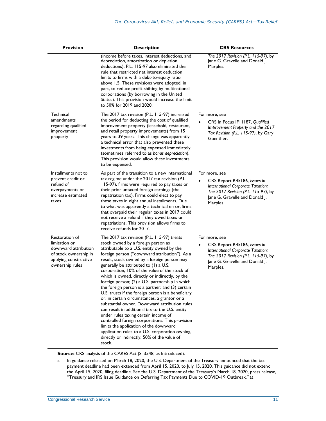| <b>Provision</b>                                                                                                             | <b>Description</b>                                                                                                                                                                                                                                                                                                                                                                                                                                                                                                                                                                                                                                                                                                                                                                                                                                                                                                                             | <b>CRS Resources</b>                                                                                                                                                    |
|------------------------------------------------------------------------------------------------------------------------------|------------------------------------------------------------------------------------------------------------------------------------------------------------------------------------------------------------------------------------------------------------------------------------------------------------------------------------------------------------------------------------------------------------------------------------------------------------------------------------------------------------------------------------------------------------------------------------------------------------------------------------------------------------------------------------------------------------------------------------------------------------------------------------------------------------------------------------------------------------------------------------------------------------------------------------------------|-------------------------------------------------------------------------------------------------------------------------------------------------------------------------|
|                                                                                                                              | (income before taxes, interest deductions, and<br>depreciation, amortization or depletion<br>deductions). P.L. 115-97 also eliminated the<br>rule that restricted net interest deduction<br>limits to firms with a debt-to-equity ratio<br>above 1.5. These revisions were adopted, in<br>part, to reduce profit-shifting by multinational<br>corporations (by borrowing in the United<br>States). This provision would increase the limit<br>to 50% for 2019 and 2020.                                                                                                                                                                                                                                                                                                                                                                                                                                                                        | The 2017 Revision (P.L. 115-97), by<br>Jane G. Gravelle and Donald J.<br>Marples.                                                                                       |
| Technical<br>amendments<br>regarding qualified<br>improvement<br>property                                                    | The 2017 tax revision (P.L. 115-97) increased<br>the period for deducting the cost of qualified<br>improvement property (leasehold, restaurant,<br>and retail property improvements) from 15<br>years to 39 years. This change was apparently<br>a technical error that also prevented these<br>investments from being expensed immediately<br>(sometimes referred to as bonus depreciation).<br>This provision would allow these investments<br>to be expensed.                                                                                                                                                                                                                                                                                                                                                                                                                                                                               | For more, see<br>CRS In Focus IF11187, Qualified<br>Improvement Property and the 2017<br>Tax Revision (P.L. 115-97), by Gary<br>Guenther.                               |
| Installments not to<br>prevent credit or<br>refund of<br>overpayments or<br>increase estimated<br>taxes                      | As part of the transition to a new international<br>tax regime under the 2017 tax revision (P.L.<br>115-97), firms were required to pay taxes on<br>their prior untaxed foreign earnings (the<br>repatriation tax). Firms could elect to pay<br>these taxes in eight annual installments. Due<br>to what was apparently a technical error, firms<br>that overpaid their regular taxes in 2017 could<br>not receive a refund if they owed taxes on<br>repatriations. This provision allows firms to<br>receive refunds for 2017.                                                                                                                                                                                                                                                                                                                                                                                                                | For more, see<br>CRS Report R45186, Issues in<br>International Corporate Taxation:<br>The 2017 Revision (P.L. 115-97), by<br>Jane G. Gravelle and Donald J.<br>Marples. |
| Restoration of<br>limitation on<br>downward attribution<br>of stock ownership in<br>applying constructive<br>ownership rules | The 2017 tax revision (P.L. 115-97) treats<br>stock owned by a foreign person as<br>attributable to a U.S. entity owned by the<br>foreign person ("downward attribution"). As a<br>result, stock owned by a foreign person may<br>generally be attributed to (1) a U.S.<br>corporation, 10% of the value of the stock of<br>which is owned, directly or indirectly, by the<br>foreign person; (2) a U.S. partnership in which<br>the foreign person is a partner; and $(3)$ certain<br>U.S. trusts if the foreign person is a beneficiary<br>or, in certain circumstances, a grantor or a<br>substantial owner. Downward attribution rules<br>can result in additional tax to the U.S. entity<br>under rules taxing certain income of<br>controlled foreign corporations. This provision<br>limits the application of the downward<br>application rules to a U.S. corporation owning,<br>directly or indirectly, 50% of the value of<br>stock. | For more, see<br>CRS Report R45186, Issues in<br>International Corporate Taxation:<br>The 2017 Revision (P.L. 115-97), by<br>Jane G. Gravelle and Donald J.<br>Marples. |

**Source:** CRS analysis of the CARES Act (S. 3548, as Introduced).

<span id="page-11-0"></span>a. In guidance released on March 18, 2020, the U.S. Department of the Treasury announced that the tax payment deadline had been extended from April 15, 2020, to July 15, 2020. This guidance did not extend the April 15, 2020, filing deadline. See the U.S. Department of the Treasury's March 18, 2020, press release, "Treasury and IRS Issue Guidance on Deferring Tax Payments Due to COVID-19 Outbreak," at